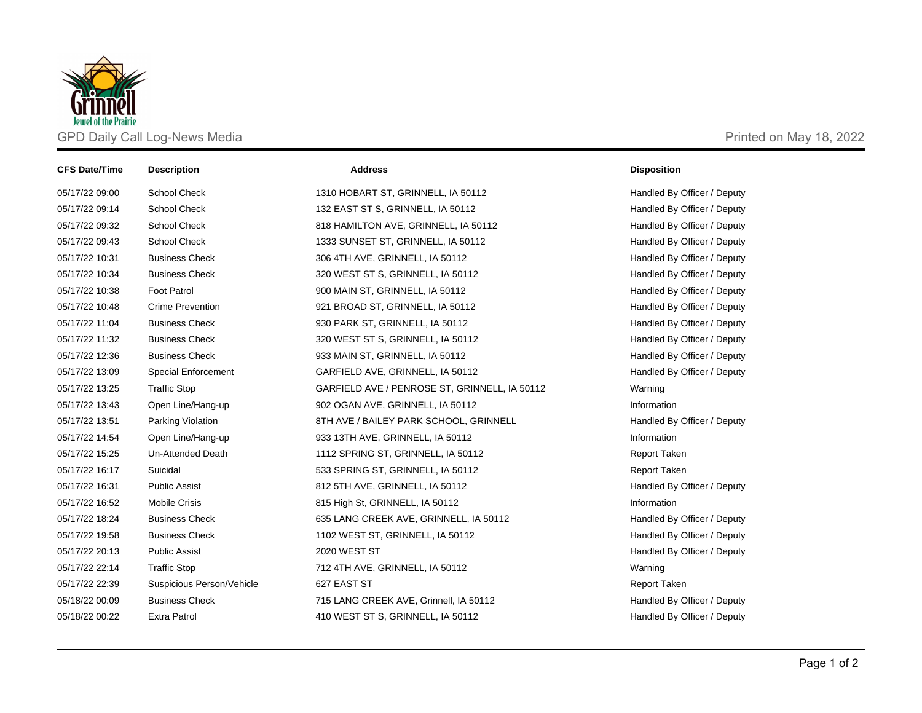

| <b>CFS Date/Time</b> | <b>Description</b>         | <b>Address</b>                                | <b>Disposition</b>          |
|----------------------|----------------------------|-----------------------------------------------|-----------------------------|
| 05/17/22 09:00       | <b>School Check</b>        | 1310 HOBART ST, GRINNELL, IA 50112            | Handled By Officer / Deputy |
| 05/17/22 09:14       | <b>School Check</b>        | 132 EAST ST S, GRINNELL, IA 50112             | Handled By Officer / Deputy |
| 05/17/22 09:32       | <b>School Check</b>        | 818 HAMILTON AVE, GRINNELL, IA 50112          | Handled By Officer / Deputy |
| 05/17/22 09:43       | <b>School Check</b>        | 1333 SUNSET ST, GRINNELL, IA 50112            | Handled By Officer / Deputy |
| 05/17/22 10:31       | <b>Business Check</b>      | 306 4TH AVE, GRINNELL, IA 50112               | Handled By Officer / Deputy |
| 05/17/22 10:34       | <b>Business Check</b>      | 320 WEST ST S, GRINNELL, IA 50112             | Handled By Officer / Deputy |
| 05/17/22 10:38       | <b>Foot Patrol</b>         | 900 MAIN ST, GRINNELL, IA 50112               | Handled By Officer / Deputy |
| 05/17/22 10:48       | <b>Crime Prevention</b>    | 921 BROAD ST, GRINNELL, IA 50112              | Handled By Officer / Deputy |
| 05/17/22 11:04       | <b>Business Check</b>      | 930 PARK ST, GRINNELL, IA 50112               | Handled By Officer / Deputy |
| 05/17/22 11:32       | <b>Business Check</b>      | 320 WEST ST S, GRINNELL, IA 50112             | Handled By Officer / Deputy |
| 05/17/22 12:36       | <b>Business Check</b>      | 933 MAIN ST, GRINNELL, IA 50112               | Handled By Officer / Deputy |
| 05/17/22 13:09       | <b>Special Enforcement</b> | GARFIELD AVE, GRINNELL, IA 50112              | Handled By Officer / Deputy |
| 05/17/22 13:25       | <b>Traffic Stop</b>        | GARFIELD AVE / PENROSE ST, GRINNELL, IA 50112 | Warning                     |
| 05/17/22 13:43       | Open Line/Hang-up          | 902 OGAN AVE, GRINNELL, IA 50112              | Information                 |
| 05/17/22 13:51       | Parking Violation          | 8TH AVE / BAILEY PARK SCHOOL, GRINNELL        | Handled By Officer / Deputy |
| 05/17/22 14:54       | Open Line/Hang-up          | 933 13TH AVE, GRINNELL, IA 50112              | Information                 |
| 05/17/22 15:25       | Un-Attended Death          | 1112 SPRING ST, GRINNELL, IA 50112            | <b>Report Taken</b>         |
| 05/17/22 16:17       | Suicidal                   | 533 SPRING ST, GRINNELL, IA 50112             | <b>Report Taken</b>         |
| 05/17/22 16:31       | <b>Public Assist</b>       | 812 5TH AVE, GRINNELL, IA 50112               | Handled By Officer / Deputy |
| 05/17/22 16:52       | <b>Mobile Crisis</b>       | 815 High St, GRINNELL, IA 50112               | Information                 |
| 05/17/22 18:24       | <b>Business Check</b>      | 635 LANG CREEK AVE, GRINNELL, IA 50112        | Handled By Officer / Deputy |
| 05/17/22 19:58       | <b>Business Check</b>      | 1102 WEST ST, GRINNELL, IA 50112              | Handled By Officer / Deputy |
| 05/17/22 20:13       | <b>Public Assist</b>       | 2020 WEST ST                                  | Handled By Officer / Deputy |
| 05/17/22 22:14       | <b>Traffic Stop</b>        | 712 4TH AVE, GRINNELL, IA 50112               | Warning                     |
| 05/17/22 22:39       | Suspicious Person/Vehicle  | 627 EAST ST                                   | <b>Report Taken</b>         |
| 05/18/22 00:09       | <b>Business Check</b>      | 715 LANG CREEK AVE, Grinnell, IA 50112        | Handled By Officer / Deputy |
| 05/18/22 00:22       | <b>Extra Patrol</b>        | 410 WEST ST S, GRINNELL, IA 50112             | Handled By Officer / Deputy |